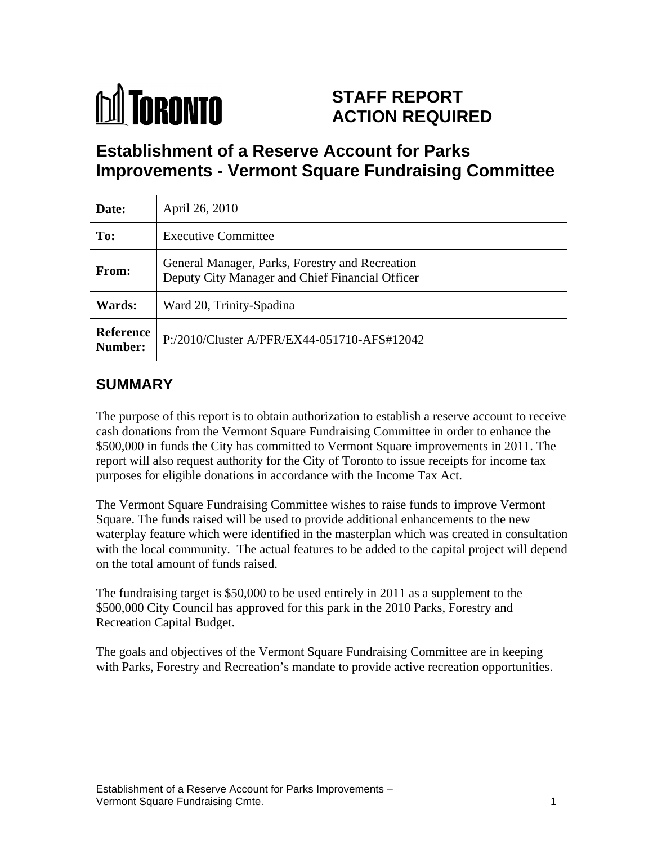

# **STAFF REPORT ACTION REQUIRED**

# **Establishment of a Reserve Account for Parks Improvements - Vermont Square Fundraising Committee**

| Date:                | April 26, 2010                                                                                     |
|----------------------|----------------------------------------------------------------------------------------------------|
| To:                  | <b>Executive Committee</b>                                                                         |
| <b>From:</b>         | General Manager, Parks, Forestry and Recreation<br>Deputy City Manager and Chief Financial Officer |
| <b>Wards:</b>        | Ward 20, Trinity-Spadina                                                                           |
| Reference<br>Number: | P:/2010/Cluster A/PFR/EX44-051710-AFS#12042                                                        |

### **SUMMARY**

The purpose of this report is to obtain authorization to establish a reserve account to receive cash donations from the Vermont Square Fundraising Committee in order to enhance the \$500,000 in funds the City has committed to Vermont Square improvements in 2011. The report will also request authority for the City of Toronto to issue receipts for income tax purposes for eligible donations in accordance with the Income Tax Act.

The Vermont Square Fundraising Committee wishes to raise funds to improve Vermont Square. The funds raised will be used to provide additional enhancements to the new waterplay feature which were identified in the masterplan which was created in consultation with the local community. The actual features to be added to the capital project will depend on the total amount of funds raised.

The fundraising target is \$50,000 to be used entirely in 2011 as a supplement to the \$500,000 City Council has approved for this park in the 2010 Parks, Forestry and

Recreation Capital Budget.<br>The goals and objectives of the Vermont Square Fundraising Committee are in keeping with Parks, Forestry and Recreation's mandate to provide active recreation opportunities.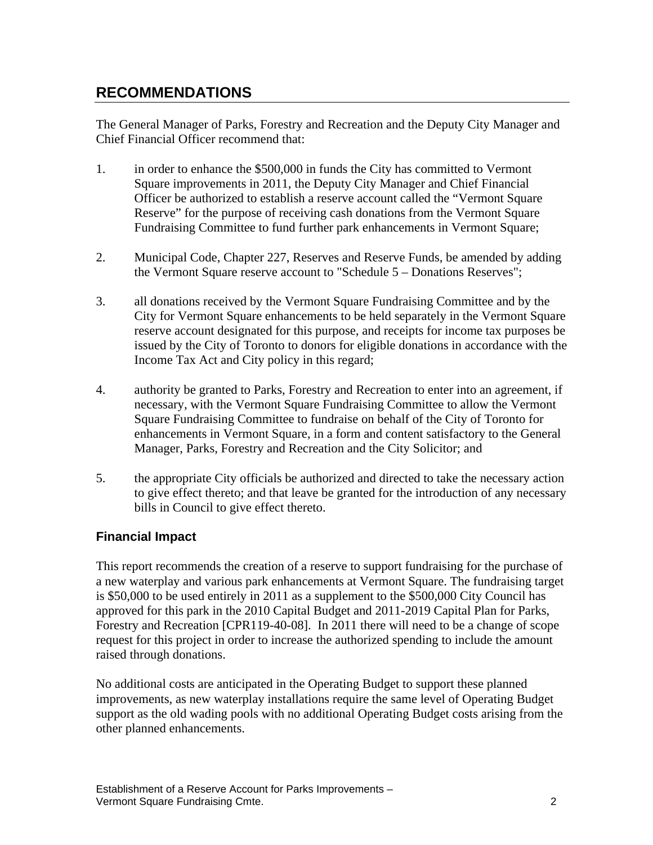## **RECOMMENDATIONS**

The General Manager of Parks, Forestry and Recreation and the Deputy City Manager and Chief Financial Officer recommend that:

- 1. in order to enhance the \$500,000 in funds the City has committed to Vermont Square improvements in 2011, the Deputy City Manager and Chief Financial Officer be authorized to establish a reserve account called the "Vermont Square Reserve" for the purpose of receiving cash donations from the Vermont Square Fundraising Committee to fund further park enhancements in Vermont Square;
- 2. Municipal Code, Chapter 227, Reserves and Reserve Funds, be amended by adding the Vermont Square reserve account to "Schedule 5 – Donations Reserves";
- 3. all donations received by the Vermont Square Fundraising Committee and by the City for Vermont Square enhancements to be held separately in the Vermont Square reserve account designated for this purpose, and receipts for income tax purposes be issued by the City of Toronto to donors for eligible donations in accordance with the Income Tax Act and City policy in this regard;
- 4. authority be granted to Parks, Forestry and Recreation to enter into an agreement, if necessary, with the Vermont Square Fundraising Committee to allow the Vermont Square Fundraising Committee to fundraise on behalf of the City of Toronto for enhancements in Vermont Square, in a form and content satisfactory to the General Manager, Parks, Forestry and Recreation and the City Solicitor; and
- 5. the appropriate City officials be authorized and directed to take the necessary action to give effect thereto; and that leave be granted for the introduction of any necessary bills in Council to give effect thereto.

#### **Financial Impact**

This report recommends the creation of a reserve to support fundraising for the purchase of a new waterplay and various park enhancements at Vermont Square. The fundraising target is \$50,000 to be used entirely in 2011 as a supplement to the \$500,000 City Council has approved for this park in the 2010 Capital Budget and 2011-2019 Capital Plan for Parks, Forestry and Recreation [CPR119-40-08]. In 2011 there will need to be a change of scope request for this project in order to increase the authorized spending to include the amount raised through donations.

No additional costs are anticipated in the Operating Budget to support these planned improvements, as new waterplay installations require the same level of Operating Budget support as the old wading pools with no additional Operating Budget costs arising from the other planned enhancements.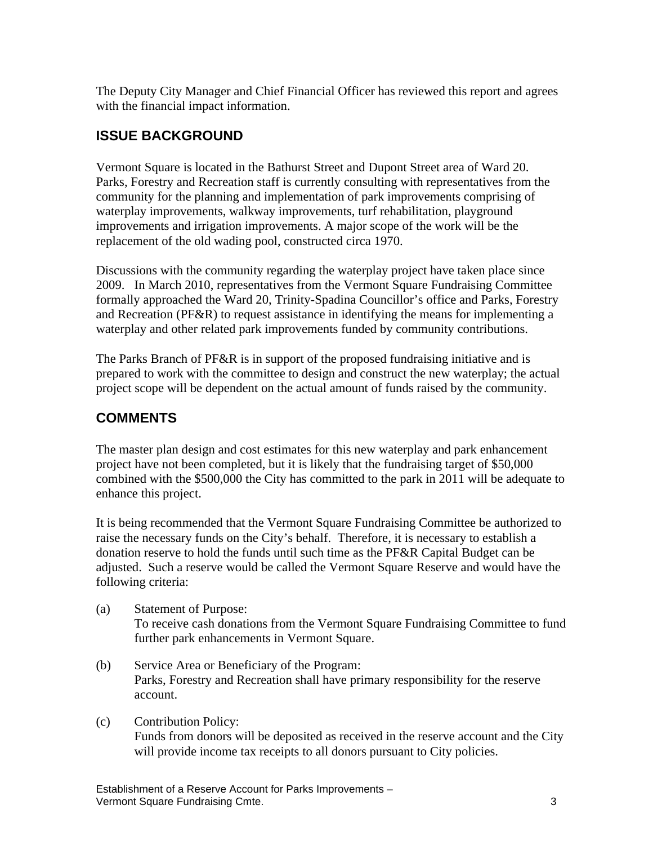The Deputy City Manager and Chief Financial Officer has reviewed this report and agrees with the financial impact information.

## **ISSUE BACKGROUND**

Vermont Square is located in the Bathurst Street and Dupont Street area of Ward 20. Parks, Forestry and Recreation staff is currently consulting with representatives from the community for the planning and implementation of park improvements comprising of waterplay improvements, walkway improvements, turf rehabilitation, playground improvements and irrigation improvements. A major scope of the work will be the replacement of the old wading pool, constructed circa 1970.

Discussions with the community regarding the waterplay project have taken place since 2009. In March 2010, representatives from the Vermont Square Fundraising Committee formally approached the Ward 20, Trinity-Spadina Councillor's office and Parks, Forestry and Recreation (PF&R) to request assistance in identifying the means for implementing a waterplay and other related park improvements funded by community contributions.

The Parks Branch of PF&R is in support of the proposed fundraising initiative and is prepared to work with the committee to design and construct the new waterplay; the actual project scope will be dependent on the actual amount of funds raised by the community.

# **COMMENTS**

The master plan design and cost estimates for this new waterplay and park enhancement project have not been completed, but it is likely that the fundraising target of \$50,000 combined with the \$500,000 the City has committed to the park in 2011 will be adequate to enhance this project.

It is being recommended that the Vermont Square Fundraising Committee be authorized to raise the necessary funds on the City's behalf. Therefore, it is necessary to establish a donation reserve to hold the funds until such time as the PF&R Capital Budget can be adjusted. Such a reserve would be called the Vermont Square Reserve and would have the following criteria:

- (a) Statement of Purpose: To receive cash donations from the Vermont Square Fundraising Committee to fund further park enhancements in Vermont Square.
- (b) Service Area or Beneficiary of the Program: Parks, Forestry and Recreation shall have primary responsibility for the reserve account.
- (c) Contribution Policy: Funds from donors will be deposited as received in the reserve account and the City will provide income tax receipts to all donors pursuant to City policies.